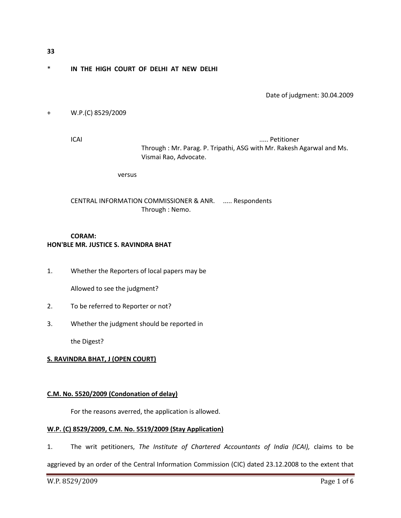## \* **IN THE HIGH COURT OF DELHI AT NEW DELHI**

Date of judgment: 30.04.2009

#### + W.P.(C) 8529/2009

ICAI ..... Petitioner Through : Mr. Parag. P. Tripathi, ASG with Mr. Rakesh Agarwal and Ms. Vismai Rao, Advocate.

versus

## CENTRAL INFORMATION COMMISSIONER & ANR. ..... Respondents Through : Nemo.

# **CORAM: HON'BLE MR. JUSTICE S. RAVINDRA BHAT**

1. Whether the Reporters of local papers may be

Allowed to see the judgment?

- 2. To be referred to Reporter or not?
- 3. Whether the judgment should be reported in

the Digest?

### **S. RAVINDRA BHAT, J (OPEN COURT)**

### **C.M. No. 5520/2009 (Condonation of delay)**

For the reasons averred, the application is allowed.

## **W.P. (C) 8529/2009, C.M. No. 5519/2009 (Stay Application)**

1. The writ petitioners, *The Institute of Chartered Accountants of India (ICAI),* claims to be aggrieved by an order of the Central Information Commission (CIC) dated 23.12.2008 to the extent that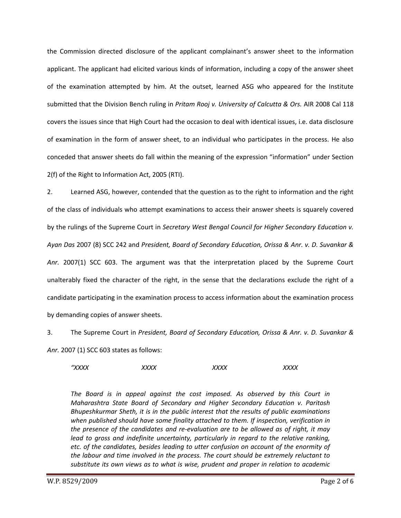the Commission directed disclosure of the applicant complainant's answer sheet to the information applicant. The applicant had elicited various kinds of information, including a copy of the answer sheet of the examination attempted by him. At the outset, learned ASG who appeared for the Institute submitted that the Division Bench ruling in *Pritam Rooj v. University of Calcutta & Ors.* AIR 2008 Cal 118 covers the issues since that High Court had the occasion to deal with identical issues, i.e. data disclosure of examination in the form of answer sheet, to an individual who participates in the process. He also conceded that answer sheets do fall within the meaning of the expression "information" under Section 2(f) of the Right to Information Act, 2005 (RTI).

2. Learned ASG, however, contended that the question as to the right to information and the right of the class of individuals who attempt examinations to access their answer sheets is squarely covered by the rulings of the Supreme Court in *Secretary West Bengal Council for Higher Secondary Education v. Ayan Das* 2007 (8) SCC 242 and *President, Board of Secondary Education, Orissa & Anr. v. D. Suvankar & Anr.* 2007(1) SCC 603. The argument was that the interpretation placed by the Supreme Court unalterably fixed the character of the right, in the sense that the declarations exclude the right of a candidate participating in the examination process to access information about the examination process by demanding copies of answer sheets.

3. The Supreme Court in *President, Board of Secondary Education, Orissa & Anr. v. D. Suvankar & Anr.* 2007 (1) SCC 603 states as follows:

*"XXXX XXXX XXXX XXXX*

*The Board is in appeal against the cost imposed. As observed by this Court in Maharashtra State Board of Secondary and Higher Secondary Education v. Paritosh Bhupeshkurmar Sheth, it is in the public interest that the results of public examinations when published should have some finality attached to them. If inspection, verification in the presence of the candidates and re-evaluation are to be allowed as of right, it may lead to gross and indefinite uncertainty, particularly in regard to the relative ranking, etc. of the candidates, besides leading to utter confusion on account of the enormity of the labour and time involved in the process. The court should be extremely reluctant to substitute its own views as to what is wise, prudent and proper in relation to academic*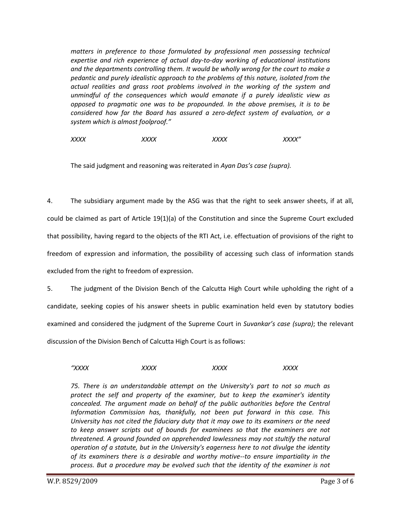*matters in preference to those formulated by professional men possessing technical expertise and rich experience of actual day-to-day working of educational institutions and the departments controlling them. It would be wholly wrong for the court to make a pedantic and purely idealistic approach to the problems of this nature, isolated from the actual realities and grass root problems involved in the working of the system and unmindful of the consequences which would emanate if a purely idealistic view as opposed to pragmatic one was to be propounded. In the above premises, it is to be considered how far the Board has assured a zero-defect system of evaluation, or a system which is almost foolproof."*

*XXXX XXXX XXXX XXXX"*

The said judgment and reasoning was reiterated in *Ayan Das's case (supra).*

4. The subsidiary argument made by the ASG was that the right to seek answer sheets, if at all, could be claimed as part of Article 19(1)(a) of the Constitution and since the Supreme Court excluded that possibility, having regard to the objects of the RTI Act, i.e. effectuation of provisions of the right to freedom of expression and information, the possibility of accessing such class of information stands excluded from the right to freedom of expression.

5. The judgment of the Division Bench of the Calcutta High Court while upholding the right of a candidate, seeking copies of his answer sheets in public examination held even by statutory bodies examined and considered the judgment of the Supreme Court in *Suvankar's case (supra)*; the relevant discussion of the Division Bench of Calcutta High Court is as follows:

*"XXXX XXXX XXXX XXXX*

*75. There is an understandable attempt on the University's part to not so much as protect the self and property of the examiner, but to keep the examiner's identity*  concealed. The argument made on behalf of the public authorities before the Central *Information Commission has, thankfully, not been put forward in this case. This University has not cited the fiduciary duty that it may owe to its examiners or the need*  to keep answer scripts out of bounds for examinees so that the examiners are not *threatened. A ground founded on apprehended lawlessness may not stultify the natural operation of a statute, but in the University's eagerness here to not divulge the identity of its examiners there is a desirable and worthy motive--to ensure impartiality in the process. But a procedure may be evolved such that the identity of the examiner is not*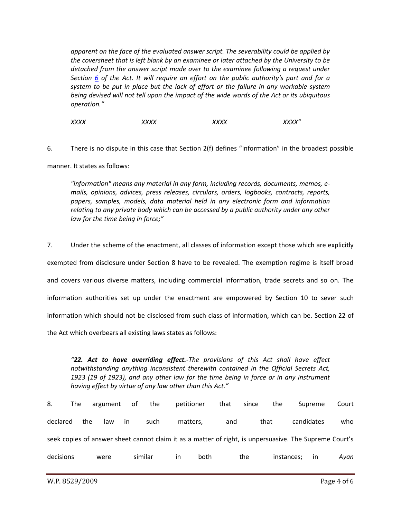*apparent on the face of the evaluated answer script. The severability could be applied by the coversheet that is left blank by an examinee or later attached by the University to be detached from the answer script made over to the examinee following a request under Section [6](javascript:fnOpenGlobalPopUp() of the Act. It will require an effort on the public authority's part and for a system to be put in place but the lack of effort or the failure in any workable system being devised will not tell upon the impact of the wide words of the Act or its ubiquitous operation."*

*XXXX XXXX XXXX XXXX"*

6. There is no dispute in this case that Section 2(f) defines "information" in the broadest possible manner. It states as follows:

*"information" means any material in any form, including records, documents, memos, emails, opinions, advices, press releases, circulars, orders, logbooks, contracts, reports, papers, samples, models, data material held in any electronic form and information relating to any private body which can be accessed by a public authority under any other law for the time being in force;"*

7. Under the scheme of the enactment, all classes of information except those which are explicitly exempted from disclosure under Section 8 have to be revealed. The exemption regime is itself broad and covers various diverse matters, including commercial information, trade secrets and so on. The information authorities set up under the enactment are empowered by Section 10 to sever such information which should not be disclosed from such class of information, which can be. Section 22 of the Act which overbears all existing laws states as follows:

*"22. Act to have overriding effect.-The provisions of this Act shall have effect notwithstanding anything inconsistent therewith contained in the Official Secrets Act, 1923 (19 of 1923), and any other law for the time being in force or in any instrument having effect by virtue of any law other than this Act."*

8. The argument of the petitioner that since the Supreme Court declared the law in such matters, and that candidates who seek copies of answer sheet cannot claim it as a matter of right, is unpersuasive. The Supreme Court's decisions were similar in both the instances; in *Ayan*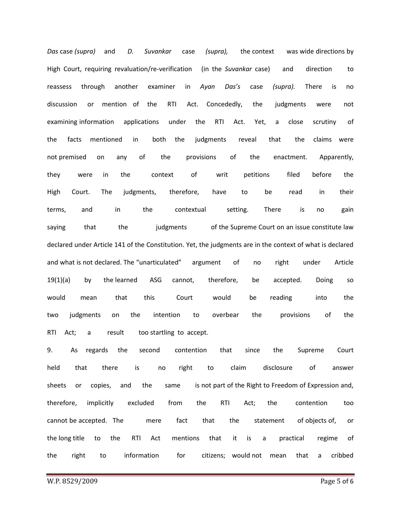*Das* case *(supra)* and *D. Suvankar* case *(supra),* the context was wide directions by High Court, requiring revaluation/re-verification (in the *Suvankar* case) and direction to reassess through another examiner in *Ayan Das's* case *(supra).* There is no discussion or mention of the RTI Act. Concededly, the judgments were not examining information applications under the RTI Act. Yet, a close scrutiny of the facts mentioned in both the judgments reveal that the claims were not premised on any of the provisions of the enactment. Apparently, they were in the context of writ petitions filed before the High Court. The judgments, therefore, have to be read in their terms, and in the contextual setting. There is no gain saying that the judgments of the Supreme Court on an issue constitute law declared under Article 141 of the Constitution. Yet, the judgments are in the context of what is declared and what is not declared. The "unarticulated" argument of no right under Article 19(1)(a) by the learned ASG cannot, therefore, be accepted. Doing so would mean that this Court would be reading into the two judgments on the intention to overbear the provisions of the RTI Act; a result too startling to accept.

9. As regards the second contention that since the Supreme Court held that there is no right to claim disclosure of answer sheets or copies, and the same is not part of the Right to Freedom of Expression and, therefore, implicitly excluded from the RTI Act; the contention too cannot be accepted. The mere fact that the statement of objects of, or the long title to the RTI Act mentions that it is a practical regime of the right to information for citizens; would not mean that a cribbed